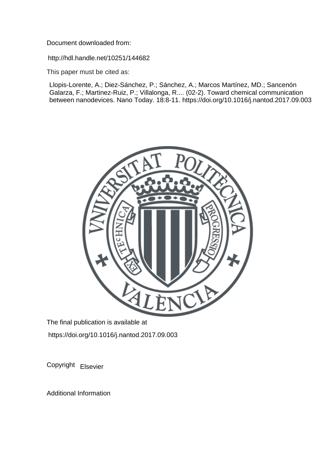Document downloaded from:

http://hdl.handle.net/10251/144682

This paper must be cited as:

Llopis-Lorente, A.; Diez-Sánchez, P.; Sánchez, A.; Marcos Martínez, MD.; Sancenón Galarza, F.; Martinez-Ruiz, P.; Villalonga, R.... (02-2). Toward chemical communication between nanodevices. Nano Today. 18:8-11. https://doi.org/10.1016/j.nantod.2017.09.003



The final publication is available at https://doi.org/10.1016/j.nantod.2017.09.003

Copyright Elsevier

Additional Information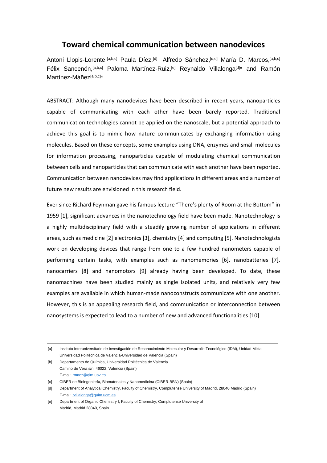## **Toward chemical communication between nanodevices**

Antoni Llopis-Lorente, <sup>[a,b,c]</sup> Paula Díez,<sup>[d]</sup> Alfredo Sánchez,<sup>[d,e]</sup> María D. Marcos, <sup>[a,b,c]</sup> Félix Sancenón, <sup>[a,b,c]</sup> Paloma Martínez-Ruiz, <sup>[e]</sup> Reynaldo Villalonga<sup>[d]\*</sup> and Ramón Martínez-Máñez[a,b,c]\*

ABSTRACT: Although many nanodevices have been described in recent years, nanoparticles capable of communicating with each other have been barely reported. Traditional communication technologies cannot be applied on the nanoscale, but a potential approach to achieve this goal is to mimic how nature communicates by exchanging information using molecules. Based on these concepts, some examples using DNA, enzymes and small molecules for information processing, nanoparticles capable of modulating chemical communication between cells and nanoparticles that can communicate with each another have been reported. Communication between nanodevices may find applications in different areas and a number of future new results are envisioned in this research field.

Ever since Richard Feynman gave his famous lecture "There's plenty of Room at the Bottom" in 1959 [1], significant advances in the nanotechnology field have been made. Nanotechnology is a highly multidisciplinary field with a steadily growing number of applications in different areas, such as medicine [2] electronics [3], chemistry [4] and computing [5]. Nanotechnologists work on developing devices that range from one to a few hundred nanometers capable of performing certain tasks, with examples such as nanomemories [6], nanobatteries [7], nanocarriers [8] and nanomotors [9] already having been developed. To date, these nanomachines have been studied mainly as single isolated units, and relatively very few examples are available in which human-made nanoconstructs communicate with one another. However, this is an appealing research field, and communication or interconnection between nanosystems is expected to lead to a number of new and advanced functionalities [10].

[b] Departamento de Química, Universidad Politécnica de Valencia Camino de Vera s/n, 46022, Valencia (Spain) E-mail: [rmaez@qim.upv.es](mailto:rmaez@qim.upv.es)

<sup>[</sup>a] Instituto Interuniversitario de Investigación de Reconocimiento Molecular y Desarrollo Tecnológico (IDM), Unidad Mixta Universidad Politécnica de Valencia-Universidad de Valencia (Spain)

<sup>[</sup>c] CIBER de Bioingeniería, Biomateriales y Nanomedicina (CIBER-BBN) (Spain)

<sup>[</sup>d] Department of Analytical Chemistry, Faculty of Chemistry, Complutense University of Madrid, 28040 Madrid (Spain) E-mail[: rvillalonga@quim.ucm.es](mailto:rvillalonga@quim.ucm.es)

<sup>[</sup>e] Department of Organic Chemistry I, Faculty of Chemistry, Complutense University of Madrid, Madrid 28040, Spain.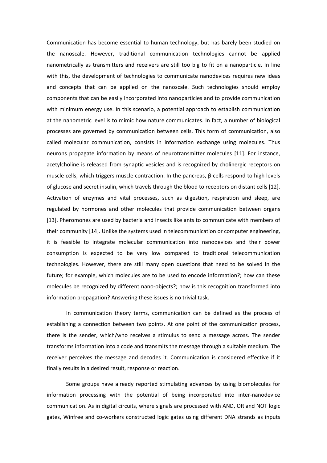Communication has become essential to human technology, but has barely been studied on the nanoscale. However, traditional communication technologies cannot be applied nanometrically as transmitters and receivers are still too big to fit on a nanoparticle. In line with this, the development of technologies to communicate nanodevices requires new ideas and concepts that can be applied on the nanoscale. Such technologies should employ components that can be easily incorporated into nanoparticles and to provide communication with minimum energy use. In this scenario, a potential approach to establish communication at the nanometric level is to mimic how nature communicates. In fact, a number of biological processes are governed by communication between cells. This form of communication, also called molecular communication, consists in information exchange using molecules. Thus neurons propagate information by means of neurotransmitter molecules [11]. For instance, acetylcholine is released from synaptic vesicles and is recognized by cholinergic receptors on muscle cells, which triggers muscle contraction. In the pancreas, β-cells respond to high levels of glucose and secret insulin, which travels through the blood to receptors on distant cells [12]. Activation of enzymes and vital processes, such as digestion, respiration and sleep, are regulated by hormones and other molecules that provide communication between organs [13]. Pheromones are used by bacteria and insects like ants to communicate with members of their community [14]. Unlike the systems used in telecommunication or computer engineering, it is feasible to integrate molecular communication into nanodevices and their power consumption is expected to be very low compared to traditional telecommunication technologies. However, there are still many open questions that need to be solved in the future; for example, which molecules are to be used to encode information?; how can these molecules be recognized by different nano-objects?; how is this recognition transformed into information propagation? Answering these issues is no trivial task.

In communication theory terms, communication can be defined as the process of establishing a connection between two points. At one point of the communication process, there is the sender, which/who receives a stimulus to send a message across. The sender transforms information into a code and transmits the message through a suitable medium. The receiver perceives the message and decodes it. Communication is considered effective if it finally results in a desired result, response or reaction.

Some groups have already reported stimulating advances by using biomolecules for information processing with the potential of being incorporated into inter-nanodevice communication. As in digital circuits, where signals are processed with AND, OR and NOT logic gates, Winfree and co-workers constructed logic gates using different DNA strands as inputs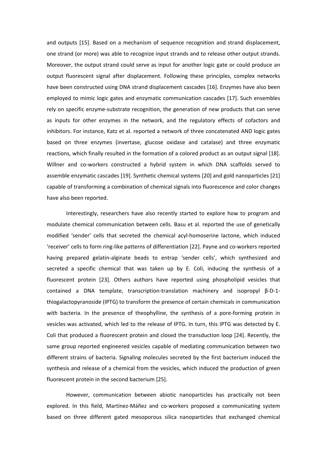and outputs [15]. Based on a mechanism of sequence recognition and strand displacement, one strand (or more) was able to recognize input strands and to release other output strands. Moreover, the output strand could serve as input for another logic gate or could produce an output fluorescent signal after displacement. Following these principles, complex networks have been constructed using DNA strand displacement cascades [16]. Enzymes have also been employed to mimic logic gates and enzymatic communication cascades [17]. Such ensembles rely on specific enzyme-substrate recognition, the generation of new products that can serve as inputs for other enzymes in the network, and the regulatory effects of cofactors and inhibitors. For instance, Katz et al. reported a network of three concatenated AND logic gates based on three enzymes (invertase, glucose oxidase and catalase) and three enzymatic reactions, which finally resulted in the formation of a colored product as an output signal [18]. Willner and co-workers constructed a hybrid system in which DNA scaffolds served to assemble enzymatic cascades [19]. Synthetic chemical systems [20] and gold nanoparticles [21] capable of transforming a combination of chemical signals into fluorescence and color changes have also been reported.

Interestingly, researchers have also recently started to explore how to program and modulate chemical communication between cells. Basu et al. reported the use of genetically modified 'sender' cells that secreted the chemical acyl-homoserine lactone, which induced 'receiver' cells to form ring-like patterns of differentiation [22]. Payne and co-workers reported having prepared gelatin-alginate beads to entrap 'sender cells', which synthesized and secreted a specific chemical that was taken up by E. Coli, inducing the synthesis of a fluorescent protein [23]. Others authors have reported using phospholipid vesicles that contained a DNA template, transcription-translation machinery and isopropyl β-D-1 thiogalactopyranoside (IPTG) to transform the presence of certain chemicals in communication with bacteria. In the presence of theophylline, the synthesis of a pore-forming protein in vesicles was activated, which led to the release of IPTG. In turn, this IPTG was detected by E. Coli that produced a fluorescent protein and closed the transduction loop [24]. Recently, the same group reported engineered vesicles capable of mediating communication between two different strains of bacteria. Signaling molecules secreted by the first bacterium induced the synthesis and release of a chemical from the vesicles, which induced the production of green fluorescent protein in the second bacterium [25].

However, communication between abiotic nanoparticles has practically not been explored. In this field, Martínez-Máñez and co-workers proposed a communicating system based on three different gated mesoporous silica nanoparticles that exchanged chemical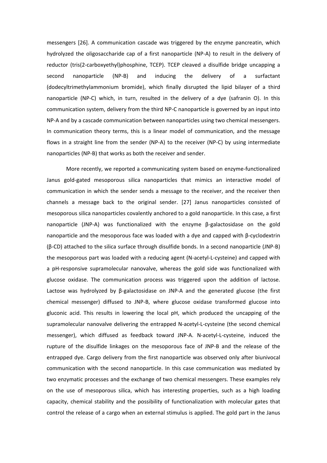messengers [26]. A communication cascade was triggered by the enzyme pancreatin, which hydrolyzed the oligosaccharide cap of a first nanoparticle (NP-A) to result in the delivery of reductor (tris(2-carboxyethyl)phosphine, TCEP). TCEP cleaved a disulfide bridge uncapping a second nanoparticle (NP-B) and inducing the delivery of a surfactant (dodecyltrimethylammonium bromide), which finally disrupted the lipid bilayer of a third nanoparticle (NP-C) which, in turn, resulted in the delivery of a dye (safranin O). In this communication system, delivery from the third NP-C nanoparticle is governed by an input into NP-A and by a cascade communication between nanoparticles using two chemical messengers. In communication theory terms, this is a linear model of communication, and the message flows in a straight line from the sender (NP-A) to the receiver (NP-C) by using intermediate nanoparticles (NP-B) that works as both the receiver and sender.

More recently, we reported a communicating system based on enzyme-functionalized Janus gold-gated mesoporous silica nanoparticles that mimics an interactive model of communication in which the sender sends a message to the receiver, and the receiver then channels a message back to the original sender. [27] Janus nanoparticles consisted of mesoporous silica nanoparticles covalently anchored to a gold nanoparticle. In this case, a first nanoparticle (JNP-A) was functionalized with the enzyme β-galactosidase on the gold nanoparticle and the mesoporous face was loaded with a dye and capped with β-cyclodextrin (β-CD) attached to the silica surface through disulfide bonds. In a second nanoparticle (JNP-B) the mesoporous part was loaded with a reducing agent (N-acetyl-L-cysteine) and capped with a pH-responsive supramolecular nanovalve, whereas the gold side was functionalized with glucose oxidase. The communication process was triggered upon the addition of lactose. Lactose was hydrolyzed by β-galactosidase on JNP-A and the generated glucose (the first chemical messenger) diffused to JNP-B, where glucose oxidase transformed glucose into gluconic acid. This results in lowering the local pH, which produced the uncapping of the supramolecular nanovalve delivering the entrapped N-acetyl-L-cysteine (the second chemical messenger), which diffused as feedback toward JNP-A. N-acetyl-L-cysteine, induced the rupture of the disulfide linkages on the mesoporous face of JNP-B and the release of the entrapped dye. Cargo delivery from the first nanoparticle was observed only after biunivocal communication with the second nanoparticle. In this case communication was mediated by two enzymatic processes and the exchange of two chemical messengers. These examples rely on the use of mesoporous silica, which has interesting properties, such as a high loading capacity, chemical stability and the possibility of functionalization with molecular gates that control the release of a cargo when an external stimulus is applied. The gold part in the Janus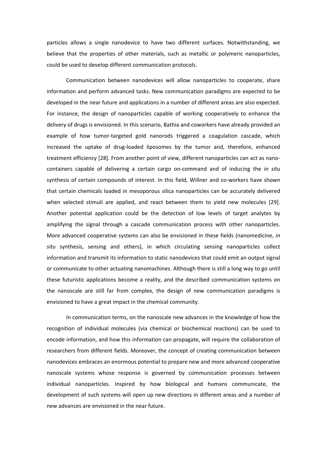particles allows a single nanodevice to have two different surfaces. Notwithstanding, we believe that the properties of other materials, such as metallic or polymeric nanoparticles, could be used to develop different communication protocols.

Communication between nanodevices will allow nanoparticles to cooperate, share information and perform advanced tasks. New communication paradigms are expected to be developed in the near future and applications in a number of different areas are also expected. For instance, the design of nanoparticles capable of working cooperatively to enhance the delivery of drugs is envisioned. In this scenario, Bathia and coworkers have already provided an example of how tumor-targeted gold nanorods triggered a coagulation cascade, which increased the uptake of drug-loaded liposomes by the tumor and, therefore, enhanced treatment efficiency [28]. From another point of view, different nanoparticles can act as nanocontainers capable of delivering a certain cargo on-command and of inducing the *in situ* synthesis of certain compounds of interest. In this field, Willner and co-workers have shown that certain chemicals loaded in mesoporous silica nanoparticles can be accurately delivered when selected stimuli are applied, and react between them to yield new molecules [29]. Another potential application could be the detection of low levels of target analytes by amplifying the signal through a cascade communication process with other nanoparticles. More advanced cooperative systems can also be envisioned in these fields (nanomedicine, *in situ* synthesis, sensing and others), in which circulating sensing nanoparticles collect information and transmit its information to static nanodevices that could emit an output signal or communicate to other actuating nanomachines. Although there is still a long way to go until these futuristic applications become a reality, and the described communication systems on the nanoscale are still far from complex, the design of new communication paradigms is envisioned to have a great impact in the chemical community.

In communication terms, on the nanoscale new advances in the knowledge of how the recognition of individual molecules (via chemical or biochemical reactions) can be used to encode information, and how this information can propagate, will require the collaboration of researchers from different fields. Moreover, the concept of creating communication between nanodevices embraces an enormous potential to prepare new and more advanced cooperative nanoscale systems whose response is governed by communication processes between individual nanoparticles. Inspired by how biological and humans communicate, the development of such systems will open up new directions in different areas and a number of new advances are envisioned in the near future.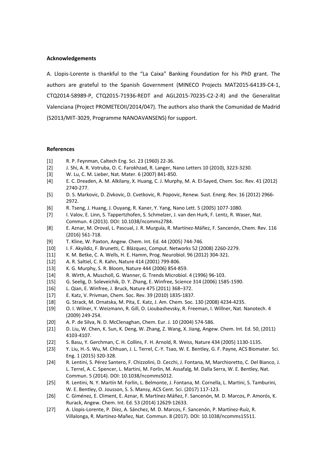## **Acknowledgements**

A. Llopis-Lorente is thankful to the "La Caixa" Banking Foundation for his PhD grant. The authors are grateful to the Spanish Government (MINECO Projects MAT2015-64139-C4-1, CTQ2014-58989-P, CTQ2015-71936-REDT and AGL2015-70235-C2-2-R) and the Generalitat Valenciana (Project PROMETEOII/2014/047). The authors also thank the Comunidad de Madrid (S2013/MIT-3029, Programme NANOAVANSENS) for support.

## **References**

- [1] R. P. Feynman, Caltech Eng. Sci. 23 (1960) 22-36.
- [2] J. Shi, A. R. Votruba, O. C. Farokhzad, R. Langer, Nano Letters 10 (2010), 3223-3230.
- [3] W. Lu, C. M. Lieber, Nat. Mater. 6 (2007) 841-850.
- [4] E. C. Dreaden, A. M. Alkilany, X. Huang, C. J. Murphy, M. A. El-Sayed, Chem. Soc. Rev. 41 (2012) 2740-277.
- [5] D. S. Markovic, D. Zivkovic, D. Cvetkovic, R. Popovic, Renew. Sust. Energ. Rev. 16 (2012) 2966- 2972.
- [6] R. Tseng, J. Huang, J. Ouyang, R. Kaner, Y. Yang, Nano Lett. 5 (2005) 1077-1080.
- [7] I. Valov, E. Linn, S. Tappertzhofen, S. Schmelzer, J. van den Hurk, F. Lentz, R. Waser, Nat. Commun. 4 (2013). DOI: 10.1038/ncomms2784.
- [8] E. Aznar, M. Oroval, L. Pascual, J. R. Murguía, R. Martínez-Máñez, F. Sancenón, Chem. Rev. 116 (2016) 561-718.
- [9] T. Kline, W. Paxton, Angew. Chem. Int. Ed. 44 (2005) 744-746.
- [10] I. F. Akyildiz, F. Brunetti, C. Blázquez, Comput. Networks 52 (2008) 2260-2279.
- [11] K. M. Betke, C. A. Wells, H. E. Hamm, Prog. Neurobiol. 96 (2012) 304-321.
- [12] A. R. Saltiel, C. R. Kahn, Nature 414 (2001) 799-806.
- [13] K. G. Murphy, S. R. Bloom, Nature 444 (2006) 854-859.
- [14] R. Wirth, A. Muscholl, G. Wanner, G. Trends Microbiol. 4 (1996) 96-103.
- [15] G. Seelig, D. Soleveichik, D. Y. Zhang, E. Winfree, Science 314 (2006) 1585-1590.
- [16] L. Qian, E. Winfree, J. Bruck, Nature 475 (2011) 368–372.
- [17] E. Katz, V. Privman, Chem. Soc. Rev. 39 (2010) 1835-1837.
- [18] G. Strack, M. Ornatska, M. Pita, E. Katz, J. Am. Chem. Soc. 130 (2008) 4234-4235.
- [19] O. I. Wilner, Y. Weizmann, R. Gill, O. Lioubashevsky, R. Freeman, I. Willner, Nat. Nanotech. 4 (2009) 249-254.
- [20] A. P. de Silva, N. D. McClenaghan, Chem. Eur. J. 10 (2004) 574-586.
- [21] D. Liu, W. Chen, K. Sun, K. Deng, W. Zhang, Z. Wang, X. Jiang, Angew. Chem. Int. Ed. 50, (2011) 4103-4107.
- [22] S. Basu, Y. Gerchman, C. H. Collins, F. H. Arnold, R. Weiss, Nature 434 (2005) 1130-1135.
- [23] Y. Liu, H.-S. Wu, M. Chhuan, J. L. Terrel, C.-Y. Tsao, W. E. Bentley, G. F. Payne, ACS Biomater. Sci. Eng. 1 (2015) 320-328.
- [24] R. Lentini, S. Pérez Santero, F. Chizzolini, D. Cecchi, J. Fontana, M, Marchioretto, C. Del Bianco, J. L. Terrel, A. C. Spencer, L. Martini, M. Forlin, M. Assafalg, M. Dalla Serra, W. E. Bentley, Nat. Commun. 5 (2014). DOI: 10.1038/ncomms5012.
- [25] R. Lentini, N. Y. Martín M. Forlin, L. Belmonte, J. Fontana, M. Cornella, L. Martini, S. Tamburini, W. E. Bentley, O. Jousson, S. S. Mansy, ACS Cent. Sci. (2017) 117-123.
- [26] C. Giménez, E. Climent, E. Aznar, R. Martínez-Máñez, F. Sancenón, M. D. Marcos, P. Amorós, K. Rurack, Angew. Chem. Int. Ed. 53 (2014) 12629-12633.
- [27] A. Llopis-Lorente, P. Díez, A. Sánchez, M. D. Marcos, F. Sancenón, P. Martínez-Ruíz, R. Villalonga, R. Martínez-Mañez, Nat. Commun. 8 (2017). DOI: 10.1038/ncomms15511.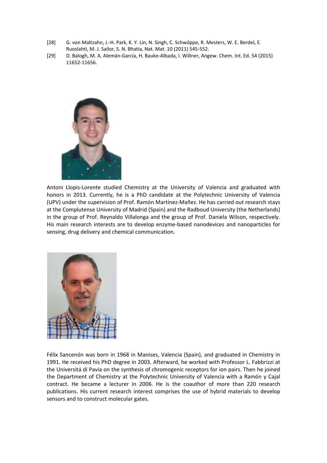- [28] G. von Maltzahn, J.-H. Park, K. Y. Lin, N. Singh, C. Schwöppe, R. Mesters, W. E. Berdel, E. Ruoslahti, M. J. Sailor, S. N. Bhatia, Nat. Mat. 10 (2011) 545-552.
- [29] D. Balogh, M. A. Alemán-García, H. Bauke-Albada, I. Willner, Angew. Chem. Int. Ed. 54 (2015) 11652-11656.



Antoni Llopis-Lorente studied Chemistry at the University of Valencia and graduated with honors in 2013. Currently, he is a PhD candidate at the Polytechnic University of Valencia (UPV) under the supervision of Prof. Ramón Martínez-Mañez. He has carried out research stays at the Complutense University of Madrid (Spain) and the Radboud University (the Netherlands) in the group of Prof. Reynaldo Villalonga and the group of Prof. Daniela Wilson, respectively. His main research interests are to develop enzyme-based nanodevices and nanoparticles for sensing, drug delivery and chemical communication.



Félix Sancenón was born in 1968 in Manises, Valencia (Spain), and graduated in Chemistry in 1991. He received his PhD degree in 2003. Afterward, he worked with Professor L. Fabbrizzi at the Universitá di Pavia on the synthesis of chromogenic receptors for ion pairs. Then he joined the Department of Chemistry at the Polytechnic University of Valencia with a Ramón y Cajal contract. He became a lecturer in 2006. He is the coauthor of more than 220 research publications. His current research interest comprises the use of hybrid materials to develop sensors and to construct molecular gates.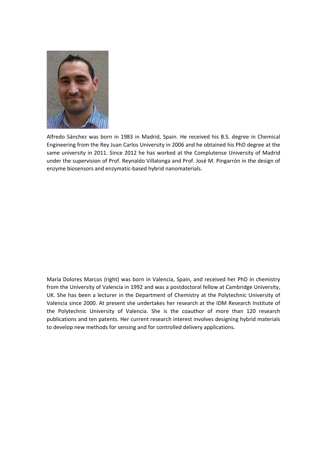

Alfredo Sánchez was born in 1983 in Madrid, Spain. He received his B.S. degree in Chemical Engineering from the Rey Juan Carlos University in 2006 and he obtained his PhD degree at the same university in 2011. Since 2012 he has worked at the Complutense University of Madrid under the supervision of Prof. Reynaldo Villalonga and Prof. José M. Pingarrón in the design of enzyme biosensors and enzymatic-based hybrid nanomaterials.

María Dolores Marcos (right) was born in Valencia, Spain, and received her PhD in chemistry from the University of Valencia in 1992 and was a postdoctoral fellow at Cambridge University, UK. She has been a lecturer in the Department of Chemistry at the Polytechnic University of Valencia since 2000. At present she undertakes her research at the IDM Research Institute of the Polytechnic University of Valencia. She is the coauthor of more than 120 research publications and ten patents. Her current research interest involves designing hybrid materials to develop new methods for sensing and for controlled delivery applications.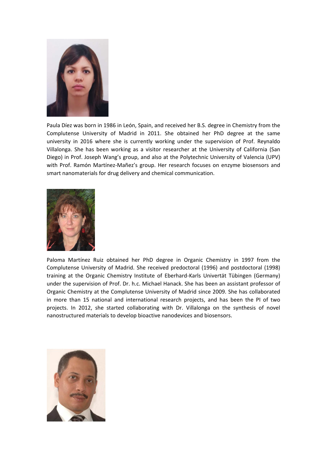

Paula Díez was born in 1986 in León, Spain, and received her B.S. degree in Chemistry from the Complutense University of Madrid in 2011. She obtained her PhD degree at the same university in 2016 where she is currently working under the supervision of Prof. Reynaldo Villalonga. She has been working as a visitor researcher at the University of California (San Diego) in Prof. Joseph Wang's group, and also at the Polytechnic University of Valencia (UPV) with Prof. Ramón Martínez-Mañez's group. Her research focuses on enzyme biosensors and smart nanomaterials for drug delivery and chemical communication.



Paloma Martínez Ruiz obtained her PhD degree in Organic Chemistry in 1997 from the Complutense University of Madrid. She received predoctoral (1996) and postdoctoral (1998) training at the Organic Chemistry Institute of Eberhard-Karls Univertät Tübingen (Germany) under the supervision of Prof. Dr. h.c. Michael Hanack. She has been an assistant professor of Organic Chemistry at the Complutense University of Madrid since 2009. She has collaborated in more than 15 national and international research projects, and has been the PI of two projects. In 2012, she started collaborating with Dr. Villalonga on the synthesis of novel nanostructured materials to develop bioactive nanodevices and biosensors.